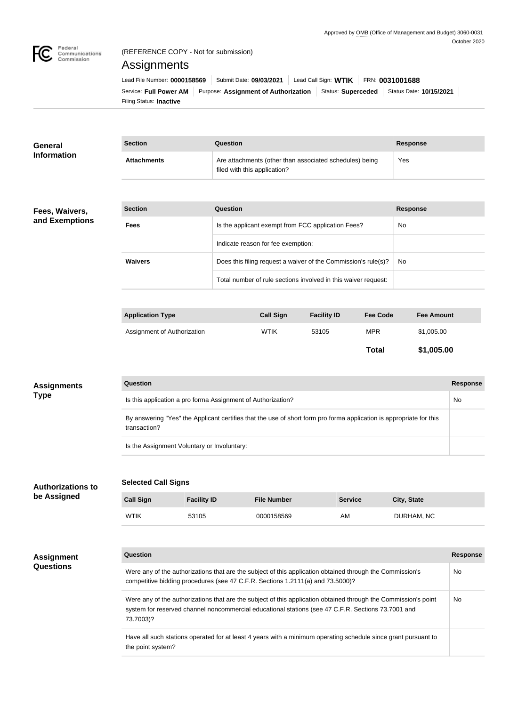

### (REFERENCE COPY - Not for submission)

# Assignments

the point system?

| Lead File Number: 0000158569 | Submit Date: 09/03/2021   Lead Call Sign: WTIK   FRN: 0031001688                   |  |  |  |                         |  |
|------------------------------|------------------------------------------------------------------------------------|--|--|--|-------------------------|--|
|                              | Service: Full Power AM   Purpose: Assignment of Authorization   Status: Superceded |  |  |  | Status Date: 10/15/2021 |  |
| Filing Status: Inactive      |                                                                                    |  |  |  |                         |  |

| <b>General</b>                          | <b>Section</b>                                                                                                                                                                                                                     | <b>Question</b>              |                                                         |                                                                |                 | <b>Response</b>   |                 |  |
|-----------------------------------------|------------------------------------------------------------------------------------------------------------------------------------------------------------------------------------------------------------------------------------|------------------------------|---------------------------------------------------------|----------------------------------------------------------------|-----------------|-------------------|-----------------|--|
| <b>Information</b>                      | <b>Attachments</b>                                                                                                                                                                                                                 | filed with this application? | Are attachments (other than associated schedules) being | Yes                                                            |                 |                   |                 |  |
|                                         |                                                                                                                                                                                                                                    |                              |                                                         |                                                                |                 |                   |                 |  |
| Fees, Waivers,                          | <b>Section</b>                                                                                                                                                                                                                     | Question                     |                                                         |                                                                |                 | <b>Response</b>   |                 |  |
| and Exemptions                          | <b>Fees</b>                                                                                                                                                                                                                        |                              |                                                         | Is the applicant exempt from FCC application Fees?             |                 | No                |                 |  |
|                                         |                                                                                                                                                                                                                                    |                              | Indicate reason for fee exemption:                      |                                                                |                 |                   |                 |  |
|                                         | <b>Waivers</b>                                                                                                                                                                                                                     |                              |                                                         | Does this filing request a waiver of the Commission's rule(s)? |                 | No                |                 |  |
|                                         |                                                                                                                                                                                                                                    |                              |                                                         | Total number of rule sections involved in this waiver request: |                 |                   |                 |  |
|                                         |                                                                                                                                                                                                                                    |                              |                                                         |                                                                |                 |                   |                 |  |
|                                         | <b>Application Type</b>                                                                                                                                                                                                            |                              | <b>Call Sign</b>                                        | <b>Facility ID</b>                                             | <b>Fee Code</b> | <b>Fee Amount</b> |                 |  |
|                                         | Assignment of Authorization                                                                                                                                                                                                        |                              | <b>WTIK</b>                                             | 53105                                                          | <b>MPR</b>      | \$1,005.00        |                 |  |
|                                         |                                                                                                                                                                                                                                    |                              |                                                         |                                                                | <b>Total</b>    | \$1,005.00        |                 |  |
| <b>Assignments</b>                      | <b>Question</b>                                                                                                                                                                                                                    |                              |                                                         |                                                                |                 |                   | <b>Response</b> |  |
| <b>Type</b>                             | Is this application a pro forma Assignment of Authorization?<br>No                                                                                                                                                                 |                              |                                                         |                                                                |                 |                   |                 |  |
|                                         | By answering "Yes" the Applicant certifies that the use of short form pro forma application is appropriate for this<br>transaction?                                                                                                |                              |                                                         |                                                                |                 |                   |                 |  |
|                                         | Is the Assignment Voluntary or Involuntary:                                                                                                                                                                                        |                              |                                                         |                                                                |                 |                   |                 |  |
|                                         |                                                                                                                                                                                                                                    |                              |                                                         |                                                                |                 |                   |                 |  |
| <b>Authorizations to</b><br>be Assigned | <b>Selected Call Signs</b>                                                                                                                                                                                                         |                              |                                                         |                                                                |                 |                   |                 |  |
|                                         | <b>Call Sign</b><br><b>Facility ID</b>                                                                                                                                                                                             |                              | <b>File Number</b>                                      | <b>Service</b>                                                 |                 | City, State       |                 |  |
|                                         | <b>WTIK</b><br>53105                                                                                                                                                                                                               |                              | 0000158569                                              | AM                                                             |                 | DURHAM, NC        |                 |  |
|                                         |                                                                                                                                                                                                                                    |                              |                                                         |                                                                |                 |                   | <b>Response</b> |  |
| <b>Assignment</b><br><b>Questions</b>   | <b>Question</b>                                                                                                                                                                                                                    |                              |                                                         |                                                                |                 |                   |                 |  |
|                                         | Were any of the authorizations that are the subject of this application obtained through the Commission's<br>No<br>competitive bidding procedures (see 47 C.F.R. Sections 1.2111(a) and 73.5000)?                                  |                              |                                                         |                                                                |                 |                   |                 |  |
|                                         | Were any of the authorizations that are the subject of this application obtained through the Commission's point<br>system for reserved channel noncommercial educational stations (see 47 C.F.R. Sections 73.7001 and<br>73.7003)? |                              |                                                         |                                                                |                 |                   | No              |  |
|                                         | Have all such stations operated for at least 4 years with a minimum operating schedule since grant pursuant to                                                                                                                     |                              |                                                         |                                                                |                 |                   |                 |  |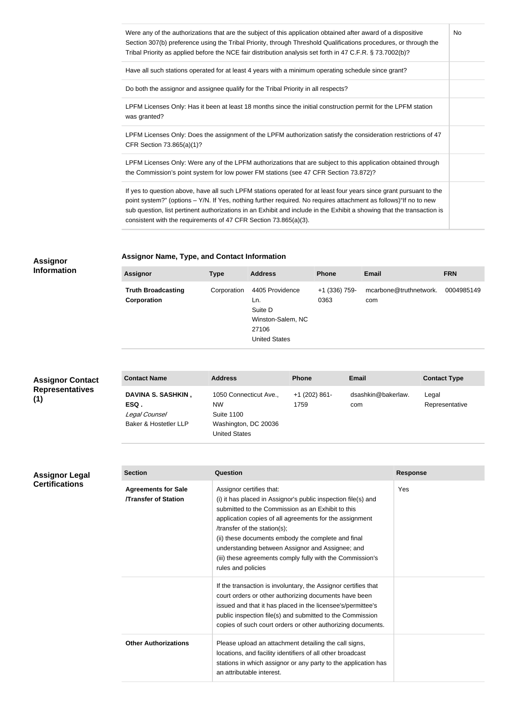| Were any of the authorizations that are the subject of this application obtained after award of a dispositive<br>Section 307(b) preference using the Tribal Priority, through Threshold Qualifications procedures, or through the<br>Tribal Priority as applied before the NCE fair distribution analysis set forth in 47 C.F.R. § 73.7002(b)?                                                                                       | No. |
|--------------------------------------------------------------------------------------------------------------------------------------------------------------------------------------------------------------------------------------------------------------------------------------------------------------------------------------------------------------------------------------------------------------------------------------|-----|
| Have all such stations operated for at least 4 years with a minimum operating schedule since grant?                                                                                                                                                                                                                                                                                                                                  |     |
| Do both the assignor and assignee qualify for the Tribal Priority in all respects?                                                                                                                                                                                                                                                                                                                                                   |     |
| LPFM Licenses Only: Has it been at least 18 months since the initial construction permit for the LPFM station<br>was granted?                                                                                                                                                                                                                                                                                                        |     |
| LPFM Licenses Only: Does the assignment of the LPFM authorization satisfy the consideration restrictions of 47<br>CFR Section 73.865(a)(1)?                                                                                                                                                                                                                                                                                          |     |
| LPFM Licenses Only: Were any of the LPFM authorizations that are subject to this application obtained through<br>the Commission's point system for low power FM stations (see 47 CFR Section 73.872)?                                                                                                                                                                                                                                |     |
| If yes to question above, have all such LPFM stations operated for at least four years since grant pursuant to the<br>point system?" (options - Y/N. If Yes, nothing further required. No requires attachment as follows)"If no to new<br>sub question, list pertinent authorizations in an Exhibit and include in the Exhibit a showing that the transaction is<br>consistent with the requirements of 47 CFR Section 73.865(a)(3). |     |

#### **Assignor Information**

## **Assignor Name, Type, and Contact Information**

| <b>Assignor</b>                          | <b>Type</b> | <b>Address</b>                                                                          | <b>Phone</b>          | <b>Email</b>                  | <b>FRN</b> |
|------------------------------------------|-------------|-----------------------------------------------------------------------------------------|-----------------------|-------------------------------|------------|
| <b>Truth Broadcasting</b><br>Corporation | Corporation | 4405 Providence<br>Ln.<br>Suite D<br>Winston-Salem, NC<br>27106<br><b>United States</b> | +1 (336) 759-<br>0363 | mcarbone@truthnetwork.<br>com | 0004985149 |

| <b>Assignor Contact</b>       | <b>Contact Name</b>                                                         | <b>Address</b>                                                                                           | <b>Phone</b>          | <b>Email</b>              | <b>Contact Type</b>     |
|-------------------------------|-----------------------------------------------------------------------------|----------------------------------------------------------------------------------------------------------|-----------------------|---------------------------|-------------------------|
| <b>Representatives</b><br>(1) | <b>DAVINA S. SASHKIN,</b><br>ESQ.<br>Legal Counsel<br>Baker & Hostetler LLP | 1050 Connecticut Ave.,<br><b>NW</b><br><b>Suite 1100</b><br>Washington, DC 20036<br><b>United States</b> | +1 (202) 861-<br>1759 | dsashkin@bakerlaw.<br>com | Legal<br>Representative |

## **Assignor Legal Certifications**

| <b>Section</b><br>Question                               |                                                                                                                                                                                                                                                                                                                                                                                                                                        | <b>Response</b> |
|----------------------------------------------------------|----------------------------------------------------------------------------------------------------------------------------------------------------------------------------------------------------------------------------------------------------------------------------------------------------------------------------------------------------------------------------------------------------------------------------------------|-----------------|
| <b>Agreements for Sale</b><br><b>Transfer of Station</b> | Assignor certifies that:<br>(i) it has placed in Assignor's public inspection file(s) and<br>submitted to the Commission as an Exhibit to this<br>application copies of all agreements for the assignment<br>/transfer of the station(s);<br>(ii) these documents embody the complete and final<br>understanding between Assignor and Assignee; and<br>(iii) these agreements comply fully with the Commission's<br>rules and policies | Yes             |
|                                                          | If the transaction is involuntary, the Assignor certifies that<br>court orders or other authorizing documents have been<br>issued and that it has placed in the licensee's/permittee's<br>public inspection file(s) and submitted to the Commission<br>copies of such court orders or other authorizing documents.                                                                                                                     |                 |
| <b>Other Authorizations</b>                              | Please upload an attachment detailing the call signs,<br>locations, and facility identifiers of all other broadcast<br>stations in which assignor or any party to the application has<br>an attributable interest.                                                                                                                                                                                                                     |                 |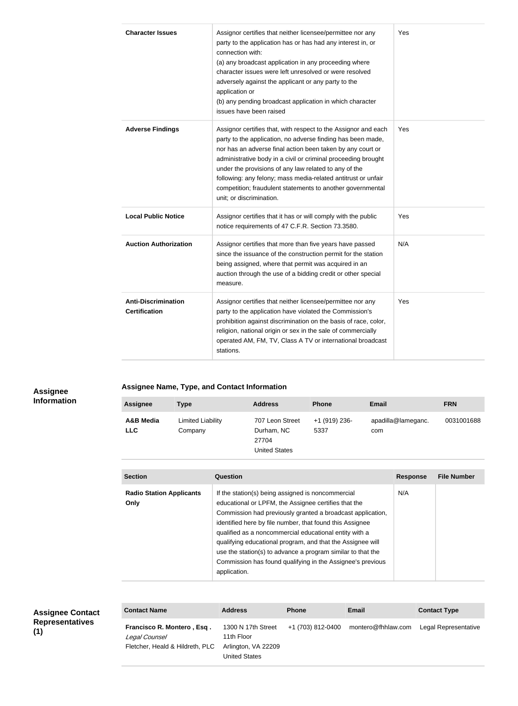| <b>Character Issues</b>                            | Assignor certifies that neither licensee/permittee nor any<br>party to the application has or has had any interest in, or<br>connection with:<br>(a) any broadcast application in any proceeding where<br>character issues were left unresolved or were resolved<br>adversely against the applicant or any party to the<br>application or<br>(b) any pending broadcast application in which character<br>issues have been raised                                                 | Yes |
|----------------------------------------------------|----------------------------------------------------------------------------------------------------------------------------------------------------------------------------------------------------------------------------------------------------------------------------------------------------------------------------------------------------------------------------------------------------------------------------------------------------------------------------------|-----|
| <b>Adverse Findings</b>                            | Assignor certifies that, with respect to the Assignor and each<br>party to the application, no adverse finding has been made,<br>nor has an adverse final action been taken by any court or<br>administrative body in a civil or criminal proceeding brought<br>under the provisions of any law related to any of the<br>following: any felony; mass media-related antitrust or unfair<br>competition; fraudulent statements to another governmental<br>unit; or discrimination. | Yes |
| <b>Local Public Notice</b>                         | Assignor certifies that it has or will comply with the public<br>notice requirements of 47 C.F.R. Section 73.3580.                                                                                                                                                                                                                                                                                                                                                               | Yes |
| <b>Auction Authorization</b>                       | Assignor certifies that more than five years have passed<br>since the issuance of the construction permit for the station<br>being assigned, where that permit was acquired in an<br>auction through the use of a bidding credit or other special<br>measure.                                                                                                                                                                                                                    | N/A |
| <b>Anti-Discrimination</b><br><b>Certification</b> | Assignor certifies that neither licensee/permittee nor any<br>party to the application have violated the Commission's<br>prohibition against discrimination on the basis of race, color,<br>religion, national origin or sex in the sale of commercially<br>operated AM, FM, TV, Class A TV or international broadcast<br>stations.                                                                                                                                              | Yes |

### **Assignee Information**

**Assignee Name, Type, and Contact Information**

| <b>Assignee</b>         | <b>Type</b>                  | <b>Address</b>                                                 | <b>Phone</b>          | <b>Email</b>              | <b>FRN</b> |
|-------------------------|------------------------------|----------------------------------------------------------------|-----------------------|---------------------------|------------|
| A&B Media<br><b>LLC</b> | Limited Liability<br>Company | 707 Leon Street<br>Durham, NC<br>27704<br><b>United States</b> | +1 (919) 236-<br>5337 | apadilla@lameganc.<br>com | 0031001688 |

| <b>Section</b>                          | Question                                                                                                                                                                                                                                                                                                                                                                                                                                                                                                 | <b>Response</b> | <b>File Number</b> |
|-----------------------------------------|----------------------------------------------------------------------------------------------------------------------------------------------------------------------------------------------------------------------------------------------------------------------------------------------------------------------------------------------------------------------------------------------------------------------------------------------------------------------------------------------------------|-----------------|--------------------|
|                                         |                                                                                                                                                                                                                                                                                                                                                                                                                                                                                                          |                 |                    |
| <b>Radio Station Applicants</b><br>Only | If the station(s) being assigned is noncommercial<br>educational or LPFM, the Assignee certifies that the<br>Commission had previously granted a broadcast application,<br>identified here by file number, that found this Assignee<br>qualified as a noncommercial educational entity with a<br>qualifying educational program, and that the Assignee will<br>use the station(s) to advance a program similar to that the<br>Commission has found qualifying in the Assignee's previous<br>application. | N/A             |                    |

| <b>Assignee Contact</b>       | <b>Contact Name</b>                                                            | <b>Address</b>                                                           | <b>Phone</b>      | <b>Email</b>       | <b>Contact Type</b>  |
|-------------------------------|--------------------------------------------------------------------------------|--------------------------------------------------------------------------|-------------------|--------------------|----------------------|
| <b>Representatives</b><br>(1) | Francisco R. Montero, Esq.<br>Legal Counsel<br>Fletcher, Heald & Hildreth, PLC | 1300 N 17th Street<br>11th Floor<br>Arlington, VA 22209<br>United States | +1 (703) 812-0400 | montero@fhhlaw.com | Legal Representative |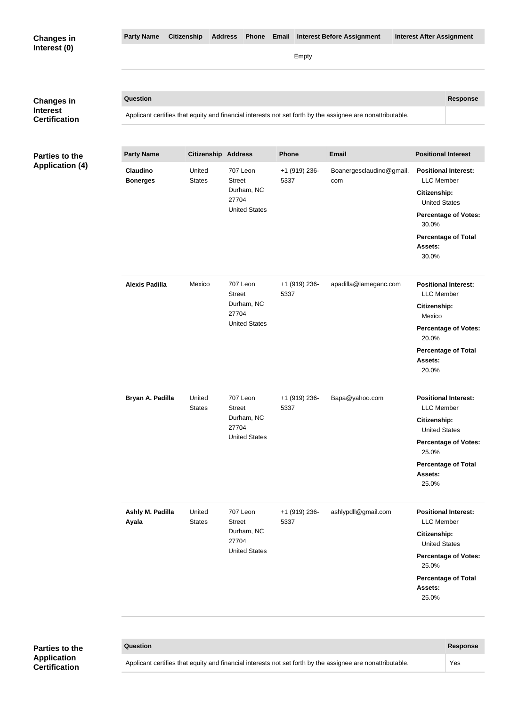| <b>Changes in</b>                    | <b>Party Name</b>                  | <b>Citizenship</b>         | <b>Address</b><br>Phone Email                                            |                       | <b>Interest Before Assignment</b>                                                                          | <b>Interest After Assignment</b>                                                                                                                                                   |
|--------------------------------------|------------------------------------|----------------------------|--------------------------------------------------------------------------|-----------------------|------------------------------------------------------------------------------------------------------------|------------------------------------------------------------------------------------------------------------------------------------------------------------------------------------|
| Interest (0)                         |                                    |                            |                                                                          | Empty                 |                                                                                                            |                                                                                                                                                                                    |
|                                      | Question                           |                            |                                                                          |                       |                                                                                                            | <b>Response</b>                                                                                                                                                                    |
| <b>Changes in</b><br><b>Interest</b> |                                    |                            |                                                                          |                       | Applicant certifies that equity and financial interests not set forth by the assignee are nonattributable. |                                                                                                                                                                                    |
| <b>Certification</b>                 |                                    |                            |                                                                          |                       |                                                                                                            |                                                                                                                                                                                    |
| <b>Parties to the</b>                | <b>Party Name</b>                  | <b>Citizenship Address</b> |                                                                          | <b>Phone</b>          | <b>Email</b>                                                                                               | <b>Positional Interest</b>                                                                                                                                                         |
| <b>Application (4)</b>               | <b>Claudino</b><br><b>Bonerges</b> | United<br><b>States</b>    | 707 Leon<br><b>Street</b><br>Durham, NC<br>27704<br><b>United States</b> | +1 (919) 236-<br>5337 | Boanergesclaudino@gmail.<br>com                                                                            | <b>Positional Interest:</b><br><b>LLC</b> Member<br>Citizenship:<br><b>United States</b><br><b>Percentage of Votes:</b><br>30.0%<br><b>Percentage of Total</b><br>Assets:<br>30.0% |
|                                      | <b>Alexis Padilla</b>              | Mexico                     | 707 Leon<br><b>Street</b><br>Durham, NC<br>27704<br><b>United States</b> | +1 (919) 236-<br>5337 | apadilla@lameganc.com                                                                                      | <b>Positional Interest:</b><br><b>LLC</b> Member<br>Citizenship:<br>Mexico<br><b>Percentage of Votes:</b><br>20.0%<br><b>Percentage of Total</b><br>Assets:<br>20.0%               |
|                                      | Bryan A. Padilla                   | United<br><b>States</b>    | 707 Leon<br><b>Street</b><br>Durham, NC<br>27704<br><b>United States</b> | +1 (919) 236-<br>5337 | Bapa@yahoo.com                                                                                             | <b>Positional Interest:</b><br><b>LLC</b> Member<br>Citizenship:<br><b>United States</b><br><b>Percentage of Votes:</b><br>25.0%<br><b>Percentage of Total</b><br>Assets:<br>25.0% |
|                                      | Ashly M. Padilla<br>Ayala          | United<br><b>States</b>    | 707 Leon<br><b>Street</b><br>Durham, NC<br>27704<br><b>United States</b> | +1 (919) 236-<br>5337 | ashlypdll@gmail.com                                                                                        | <b>Positional Interest:</b><br><b>LLC</b> Member<br>Citizenship:<br><b>United States</b><br><b>Percentage of Votes:</b><br>25.0%<br><b>Percentage of Total</b><br>Assets:<br>25.0% |
|                                      |                                    |                            |                                                                          |                       |                                                                                                            |                                                                                                                                                                                    |
| <b>Partias to the</b>                | <b>Question</b>                    |                            |                                                                          |                       |                                                                                                            | <b>Response</b>                                                                                                                                                                    |

**Parties to the Application Certification**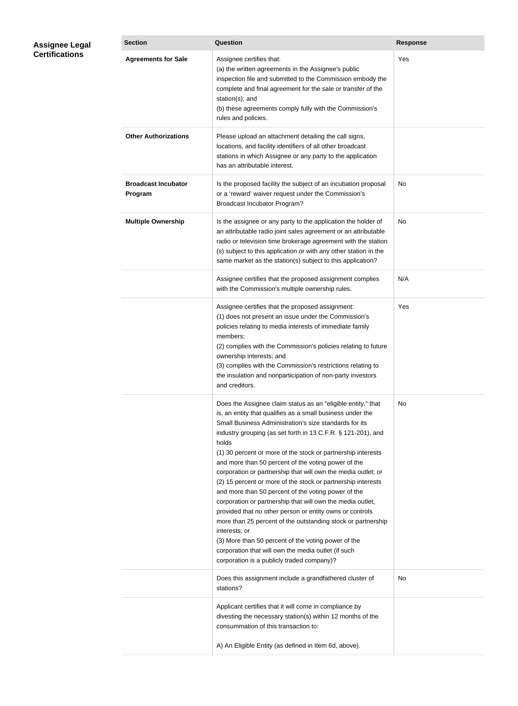| <b>Section</b>                        | <b>Question</b>                                                                                                                                                                                                                                                                                                                                                                                                                                                                                                                                                                                                                                                                                                                                                                                                                                                                                                                                     | <b>Response</b> |
|---------------------------------------|-----------------------------------------------------------------------------------------------------------------------------------------------------------------------------------------------------------------------------------------------------------------------------------------------------------------------------------------------------------------------------------------------------------------------------------------------------------------------------------------------------------------------------------------------------------------------------------------------------------------------------------------------------------------------------------------------------------------------------------------------------------------------------------------------------------------------------------------------------------------------------------------------------------------------------------------------------|-----------------|
| <b>Agreements for Sale</b>            | Assignee certifies that:<br>(a) the written agreements in the Assignee's public<br>inspection file and submitted to the Commission embody the<br>complete and final agreement for the sale or transfer of the<br>station(s); and<br>(b) these agreements comply fully with the Commission's<br>rules and policies.                                                                                                                                                                                                                                                                                                                                                                                                                                                                                                                                                                                                                                  | Yes             |
| <b>Other Authorizations</b>           | Please upload an attachment detailing the call signs,<br>locations, and facility identifiers of all other broadcast<br>stations in which Assignee or any party to the application<br>has an attributable interest.                                                                                                                                                                                                                                                                                                                                                                                                                                                                                                                                                                                                                                                                                                                                  |                 |
| <b>Broadcast Incubator</b><br>Program | Is the proposed facility the subject of an incubation proposal<br>or a 'reward' waiver request under the Commission's<br>Broadcast Incubator Program?                                                                                                                                                                                                                                                                                                                                                                                                                                                                                                                                                                                                                                                                                                                                                                                               | No              |
| <b>Multiple Ownership</b>             | Is the assignee or any party to the application the holder of<br>an attributable radio joint sales agreement or an attributable<br>radio or television time brokerage agreement with the station<br>(s) subject to this application or with any other station in the<br>same market as the station(s) subject to this application?                                                                                                                                                                                                                                                                                                                                                                                                                                                                                                                                                                                                                  | No              |
|                                       | Assignee certifies that the proposed assignment complies<br>with the Commission's multiple ownership rules.                                                                                                                                                                                                                                                                                                                                                                                                                                                                                                                                                                                                                                                                                                                                                                                                                                         | N/A             |
|                                       | Assignee certifies that the proposed assignment:<br>(1) does not present an issue under the Commission's<br>policies relating to media interests of immediate family<br>members;<br>(2) complies with the Commission's policies relating to future<br>ownership interests; and<br>(3) complies with the Commission's restrictions relating to<br>the insulation and nonparticipation of non-party investors<br>and creditors.                                                                                                                                                                                                                                                                                                                                                                                                                                                                                                                       | Yes             |
|                                       | Does the Assignee claim status as an "eligible entity," that<br>is, an entity that qualifies as a small business under the<br>Small Business Administration's size standards for its<br>industry grouping (as set forth in 13 C.F.R. § 121-201), and<br>holds<br>(1) 30 percent or more of the stock or partnership interests<br>and more than 50 percent of the voting power of the<br>corporation or partnership that will own the media outlet; or<br>(2) 15 percent or more of the stock or partnership interests<br>and more than 50 percent of the voting power of the<br>corporation or partnership that will own the media outlet,<br>provided that no other person or entity owns or controls<br>more than 25 percent of the outstanding stock or partnership<br>interests; or<br>(3) More than 50 percent of the voting power of the<br>corporation that will own the media outlet (if such<br>corporation is a publicly traded company)? | No              |
|                                       | Does this assignment include a grandfathered cluster of<br>stations?                                                                                                                                                                                                                                                                                                                                                                                                                                                                                                                                                                                                                                                                                                                                                                                                                                                                                | No              |
|                                       | Applicant certifies that it will come in compliance by<br>divesting the necessary station(s) within 12 months of the<br>consummation of this transaction to:<br>A) An Eligible Entity (as defined in Item 6d, above).                                                                                                                                                                                                                                                                                                                                                                                                                                                                                                                                                                                                                                                                                                                               |                 |

**Assignee Legal Certifications**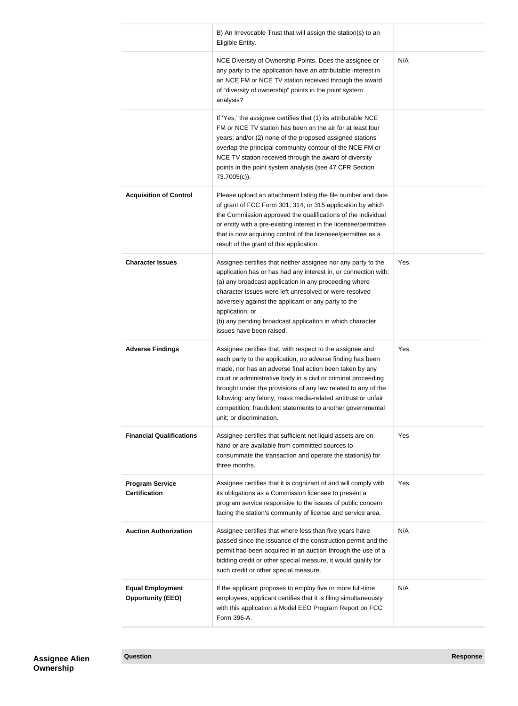|                                                     | B) An Irrevocable Trust that will assign the station(s) to an<br>Eligible Entity.                                                                                                                                                                                                                                                                                                                                                                                                |     |
|-----------------------------------------------------|----------------------------------------------------------------------------------------------------------------------------------------------------------------------------------------------------------------------------------------------------------------------------------------------------------------------------------------------------------------------------------------------------------------------------------------------------------------------------------|-----|
|                                                     | NCE Diversity of Ownership Points. Does the assignee or<br>any party to the application have an attributable interest in<br>an NCE FM or NCE TV station received through the award<br>of "diversity of ownership" points in the point system<br>analysis?                                                                                                                                                                                                                        | N/A |
|                                                     | If 'Yes,' the assignee certifies that (1) its attributable NCE<br>FM or NCE TV station has been on the air for at least four<br>years; and/or (2) none of the proposed assigned stations<br>overlap the principal community contour of the NCE FM or<br>NCE TV station received through the award of diversity<br>points in the point system analysis (see 47 CFR Section<br>73.7005(c)).                                                                                        |     |
| <b>Acquisition of Control</b>                       | Please upload an attachment listing the file number and date<br>of grant of FCC Form 301, 314, or 315 application by which<br>the Commission approved the qualifications of the individual<br>or entity with a pre-existing interest in the licensee/permittee<br>that is now acquiring control of the licensee/permittee as a<br>result of the grant of this application.                                                                                                       |     |
| <b>Character Issues</b>                             | Assignee certifies that neither assignee nor any party to the<br>application has or has had any interest in, or connection with:<br>(a) any broadcast application in any proceeding where<br>character issues were left unresolved or were resolved<br>adversely against the applicant or any party to the<br>application; or<br>(b) any pending broadcast application in which character<br>issues have been raised.                                                            | Yes |
| <b>Adverse Findings</b>                             | Assignee certifies that, with respect to the assignee and<br>each party to the application, no adverse finding has been<br>made, nor has an adverse final action been taken by any<br>court or administrative body in a civil or criminal proceeding<br>brought under the provisions of any law related to any of the<br>following: any felony; mass media-related antitrust or unfair<br>competition; fraudulent statements to another governmental<br>unit; or discrimination. | Yes |
| <b>Financial Qualifications</b>                     | Assignee certifies that sufficient net liquid assets are on<br>hand or are available from committed sources to<br>consummate the transaction and operate the station(s) for<br>three months.                                                                                                                                                                                                                                                                                     | Yes |
| <b>Program Service</b><br><b>Certification</b>      | Assignee certifies that it is cognizant of and will comply with<br>its obligations as a Commission licensee to present a<br>program service responsive to the issues of public concern<br>facing the station's community of license and service area.                                                                                                                                                                                                                            | Yes |
| <b>Auction Authorization</b>                        | Assignee certifies that where less than five years have<br>passed since the issuance of the construction permit and the<br>permit had been acquired in an auction through the use of a<br>bidding credit or other special measure, it would qualify for<br>such credit or other special measure.                                                                                                                                                                                 | N/A |
| <b>Equal Employment</b><br><b>Opportunity (EEO)</b> | If the applicant proposes to employ five or more full-time<br>employees, applicant certifies that it is filing simultaneously<br>with this application a Model EEO Program Report on FCC<br>Form 396-A.                                                                                                                                                                                                                                                                          | N/A |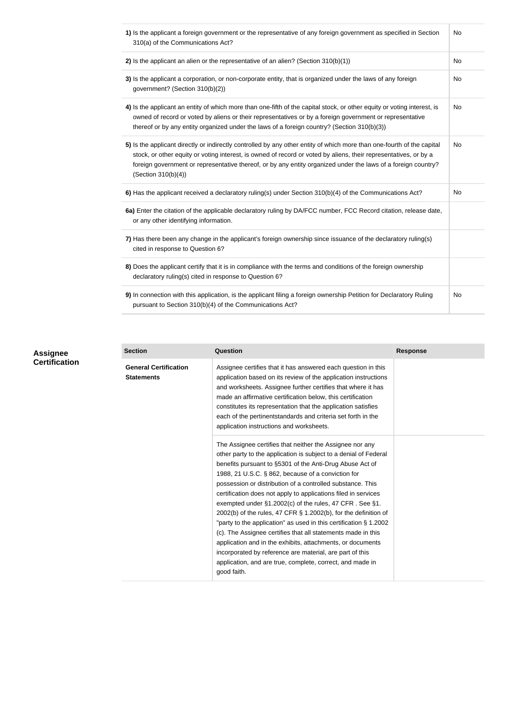| 1) Is the applicant a foreign government or the representative of any foreign government as specified in Section<br>310(a) of the Communications Act?                                                                                                                                                                                                                              | <b>No</b> |
|------------------------------------------------------------------------------------------------------------------------------------------------------------------------------------------------------------------------------------------------------------------------------------------------------------------------------------------------------------------------------------|-----------|
| 2) Is the applicant an alien or the representative of an alien? (Section $310(b)(1)$ )                                                                                                                                                                                                                                                                                             | No        |
| 3) Is the applicant a corporation, or non-corporate entity, that is organized under the laws of any foreign<br>government? (Section 310(b)(2))                                                                                                                                                                                                                                     | <b>No</b> |
| 4) Is the applicant an entity of which more than one-fifth of the capital stock, or other equity or voting interest, is<br>owned of record or voted by aliens or their representatives or by a foreign government or representative<br>thereof or by any entity organized under the laws of a foreign country? (Section 310(b)(3))                                                 | <b>No</b> |
| 5) Is the applicant directly or indirectly controlled by any other entity of which more than one-fourth of the capital<br>stock, or other equity or voting interest, is owned of record or voted by aliens, their representatives, or by a<br>foreign government or representative thereof, or by any entity organized under the laws of a foreign country?<br>(Section 310(b)(4)) | No        |
| 6) Has the applicant received a declaratory ruling(s) under Section 310(b)(4) of the Communications Act?                                                                                                                                                                                                                                                                           | <b>No</b> |
| 6a) Enter the citation of the applicable declaratory ruling by DA/FCC number, FCC Record citation, release date,<br>or any other identifying information.                                                                                                                                                                                                                          |           |
| 7) Has there been any change in the applicant's foreign ownership since issuance of the declaratory ruling(s)<br>cited in response to Question 6?                                                                                                                                                                                                                                  |           |
| 8) Does the applicant certify that it is in compliance with the terms and conditions of the foreign ownership<br>declaratory ruling(s) cited in response to Question 6?                                                                                                                                                                                                            |           |
| 9) In connection with this application, is the applicant filing a foreign ownership Petition for Declaratory Ruling<br>pursuant to Section 310(b)(4) of the Communications Act?                                                                                                                                                                                                    | No        |

| <b>Assignee</b>      |
|----------------------|
| <b>Certification</b> |

| <b>Section</b>                                    | Question                                                                                                                                                                                                                                                                                                                                                                                                                                                                                                                                                                                                                                                                                                                                                                                                                                                | <b>Response</b> |
|---------------------------------------------------|---------------------------------------------------------------------------------------------------------------------------------------------------------------------------------------------------------------------------------------------------------------------------------------------------------------------------------------------------------------------------------------------------------------------------------------------------------------------------------------------------------------------------------------------------------------------------------------------------------------------------------------------------------------------------------------------------------------------------------------------------------------------------------------------------------------------------------------------------------|-----------------|
| <b>General Certification</b><br><b>Statements</b> | Assignee certifies that it has answered each question in this<br>application based on its review of the application instructions<br>and worksheets. Assignee further certifies that where it has<br>made an affirmative certification below, this certification<br>constitutes its representation that the application satisfies<br>each of the pertinentstandards and criteria set forth in the<br>application instructions and worksheets.                                                                                                                                                                                                                                                                                                                                                                                                            |                 |
|                                                   | The Assignee certifies that neither the Assignee nor any<br>other party to the application is subject to a denial of Federal<br>benefits pursuant to §5301 of the Anti-Drug Abuse Act of<br>1988, 21 U.S.C. § 862, because of a conviction for<br>possession or distribution of a controlled substance. This<br>certification does not apply to applications filed in services<br>exempted under §1.2002(c) of the rules, 47 CFR. See §1.<br>2002(b) of the rules, 47 CFR § 1.2002(b), for the definition of<br>"party to the application" as used in this certification § 1.2002<br>(c). The Assignee certifies that all statements made in this<br>application and in the exhibits, attachments, or documents<br>incorporated by reference are material, are part of this<br>application, and are true, complete, correct, and made in<br>good faith. |                 |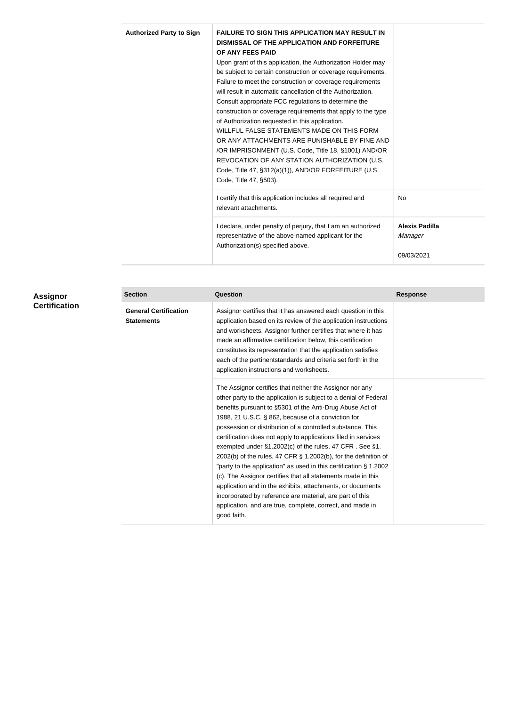| <b>Authorized Party to Sign</b> | <b>FAILURE TO SIGN THIS APPLICATION MAY RESULT IN</b><br>DISMISSAL OF THE APPLICATION AND FORFEITURE |                       |
|---------------------------------|------------------------------------------------------------------------------------------------------|-----------------------|
|                                 | OF ANY FEES PAID                                                                                     |                       |
|                                 | Upon grant of this application, the Authorization Holder may                                         |                       |
|                                 | be subject to certain construction or coverage requirements.                                         |                       |
|                                 | Failure to meet the construction or coverage requirements                                            |                       |
|                                 | will result in automatic cancellation of the Authorization.                                          |                       |
|                                 | Consult appropriate FCC regulations to determine the                                                 |                       |
|                                 | construction or coverage requirements that apply to the type                                         |                       |
|                                 | of Authorization requested in this application.                                                      |                       |
|                                 | WILLFUL FALSE STATEMENTS MADE ON THIS FORM                                                           |                       |
|                                 | OR ANY ATTACHMENTS ARE PUNISHABLE BY FINE AND                                                        |                       |
|                                 | /OR IMPRISONMENT (U.S. Code, Title 18, §1001) AND/OR                                                 |                       |
|                                 | REVOCATION OF ANY STATION AUTHORIZATION (U.S.                                                        |                       |
|                                 | Code, Title 47, §312(a)(1)), AND/OR FORFEITURE (U.S.                                                 |                       |
|                                 | Code, Title 47, §503).                                                                               |                       |
|                                 | I certify that this application includes all required and                                            | <b>No</b>             |
|                                 | relevant attachments.                                                                                |                       |
|                                 | I declare, under penalty of perjury, that I am an authorized                                         | <b>Alexis Padilla</b> |
|                                 | representative of the above-named applicant for the                                                  | Manager               |
|                                 | Authorization(s) specified above.                                                                    |                       |
|                                 |                                                                                                      | 09/03/2021            |

| Assignor<br><b>Certification</b> | <b>Section</b>                                    | <b>Question</b>                                                                                                                                                                                                                                                                                                                                                                                                                                                                                                                                                                                                                                                                                                                                                                                                                                               | <b>Response</b> |
|----------------------------------|---------------------------------------------------|---------------------------------------------------------------------------------------------------------------------------------------------------------------------------------------------------------------------------------------------------------------------------------------------------------------------------------------------------------------------------------------------------------------------------------------------------------------------------------------------------------------------------------------------------------------------------------------------------------------------------------------------------------------------------------------------------------------------------------------------------------------------------------------------------------------------------------------------------------------|-----------------|
|                                  | <b>General Certification</b><br><b>Statements</b> | Assignor certifies that it has answered each question in this<br>application based on its review of the application instructions<br>and worksheets. Assignor further certifies that where it has<br>made an affirmative certification below, this certification<br>constitutes its representation that the application satisfies<br>each of the pertinentstandards and criteria set forth in the<br>application instructions and worksheets.                                                                                                                                                                                                                                                                                                                                                                                                                  |                 |
|                                  |                                                   | The Assignor certifies that neither the Assignor nor any<br>other party to the application is subject to a denial of Federal<br>benefits pursuant to §5301 of the Anti-Drug Abuse Act of<br>1988, 21 U.S.C. § 862, because of a conviction for<br>possession or distribution of a controlled substance. This<br>certification does not apply to applications filed in services<br>exempted under $\S1.2002(c)$ of the rules, 47 CFR. See $\S1.$<br>2002(b) of the rules, 47 CFR § 1.2002(b), for the definition of<br>"party to the application" as used in this certification § 1.2002<br>(c). The Assignor certifies that all statements made in this<br>application and in the exhibits, attachments, or documents<br>incorporated by reference are material, are part of this<br>application, and are true, complete, correct, and made in<br>good faith. |                 |